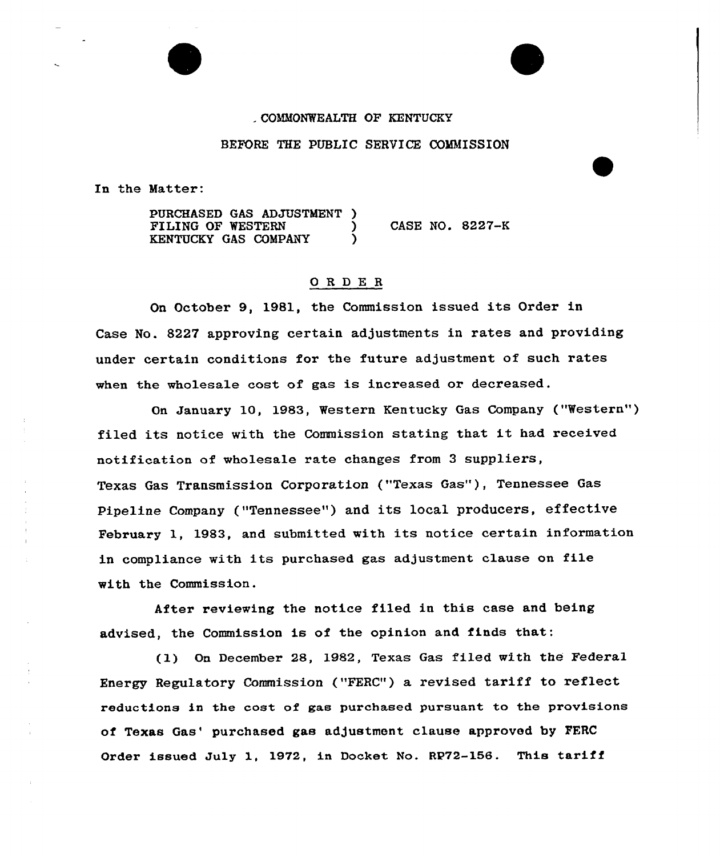## COMMONWEALTH OF KENTUCKY

#### BEFORE THE PUBLIC SERVICE COMMISSION

In the Matter:

PURCHASED GAS ADJUSTMENT )<br>FILING OF WESTERN )  $\begin{array}{ccc} \text{7} & \text{CASE NO. } 8227-\text{K} \\ \text{8} & \text{8} & \text{8} \end{array}$ KENTUCKY GAS COMPANY

## ORDE <sup>R</sup>

On October 9, 1981, the Commission issued its Order in Case No. 8227 approving certain adjustments in rates and providing under certain conditions for the future adjustment of such rates when the wholesale cost of gas is increased or decreased.

On January 10, 1983, Western Kentucky Gas Company ("Western" ) filed its notice with the Commission stating that it had received notification of wholesale rate changes from 3 suppliers, Texas Gas Transmission Corporation ("Texas Gas"), Tennessee Gas Pipeline Company ("Tennessee") and its local producers, effective February 1, 1983, and submitted with its notice certain information in compliance with its purchased gas adjustment clause on file with the Commission.

After reviewing the notice filed in this case and being advised, the Commission is of the opinion and finds that:

(1) On December 28, 1982, Texas Gas filed with the Federal Energy Regulatory Commission ("FERC") a revised tariff to reflect reductions in the cost of gas purchased pursuant to the provisions of Texas Gas' purchased gas adjustment clause approved by FERC Order issued July 1, 1972, in Docket No. RP72-156. This tariff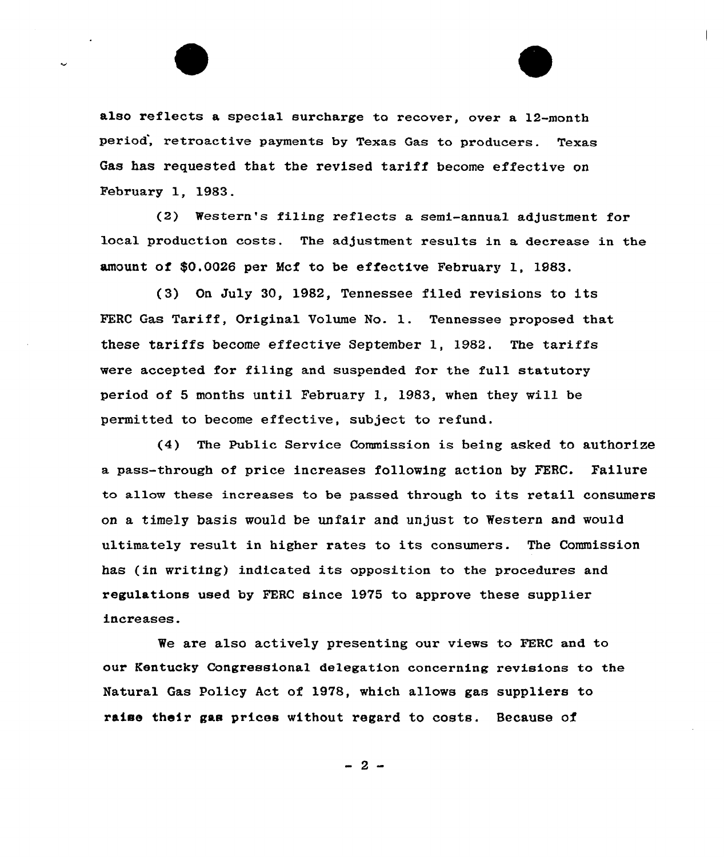also reflects a special surcharge to recover, over a 12-month period, retroactive payments by Texas Gas to producers. Texas Gas has requested that the revised tariff become effective on February 1, 1983.

 $(2)$  Western's filing reflects a semi-annual adjustment for local production costs. The adjustment results in a decrease in the amount of \$0.0026 per Mcf to be effective February 1, 1983.

{3) On July 30, 1982, Tennessee filed revisions to its FERC Gas Tariff, Original Uolume No. 1. Tennessee proposed that these tariffs become effective September 1, 1982. The tariffs were accepted for filing and suspended for the full statutory period of 5 months until February 1, 1983, when they will. be permitted to become effective, subject to refund.

(4) The Public Service Commission is being asked to authorize a pass-through of price increases following action by 7ERC. Failure to allow these increases to be passed through to its retail consumers on a timely basis would be unfair and unjust to Western and would ultimately result in higher rates to its consumers. The Commission has (in writing) indicated its opposition to the procedures and regulations used by FERC since 1975 to approve these supplier increases.

We are also actively presenting our views to FERC and to our Kentucky Congressional delegation concerning revisions to the Natural Gas policy Act of 1978, which allows gas suppliers to raise their gas prices without regard to costs. Because of

 $-2-$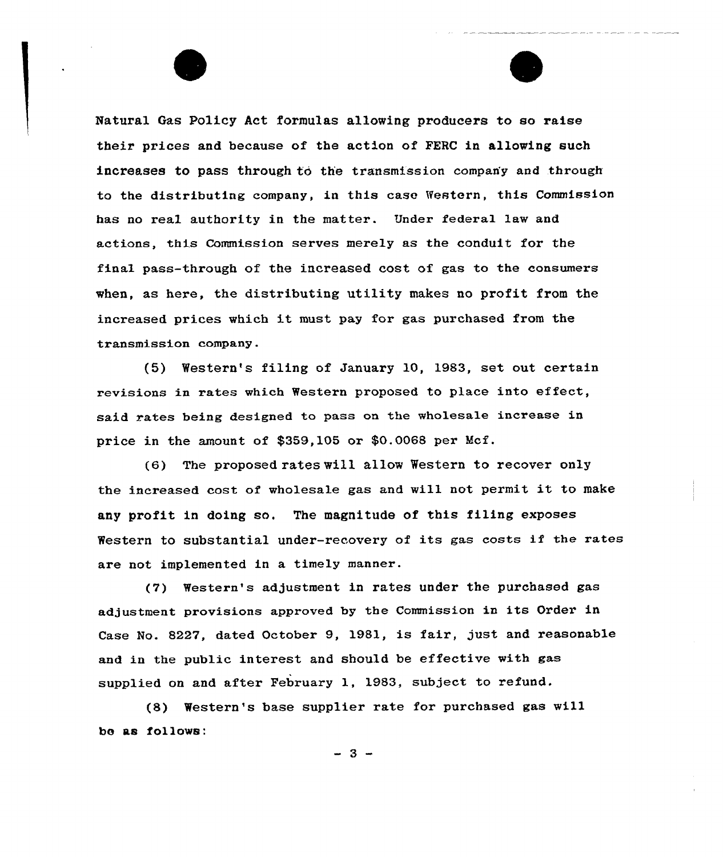Natural Gas Policy Act formulas allowing producers to so raise their prices and because of the action of FERC in allowing such increases to pass through to the transmission company and through to the distributing company, in this case Western, this Commission has no real authority in the matter. Under federal law and actions, this Commission serves merely as the conduit for the final pass-through of the increased cost of gas to the consumers when, as here, the distributing utility makes no profit from the increased prices which it must pay for gas purchased from the transmission company.

(5) Western's filing of January 10, 1983, set out certain xevisions in rates which Westexn proposed to place into effect, said rates being designed to pass on the wholesale increase in price in the amount of \$359,105 or \$0.0068 per Mcf.

(6) The proposed rates vill allow Western to recover only the increased cost of wholesale gas and will not permit it to make any profit in doing so. The magnitude of this filing exposes Western to substantial under-recovery of its gas costs if the rates are not implemented in a timely manner.

(7) Westexn's adjustment in rates under the purchased gas adjustment provisions approved by the Commission in its Order in Case No. 8227, dated October 9, 1981, is fair, just and xeasonable and in the public interest and should be effective with gas supplied on and after February 1, 1983, subject to refund.

(8) Western's base supplier rate for purchased gas will bo as follows:

 $-3 -$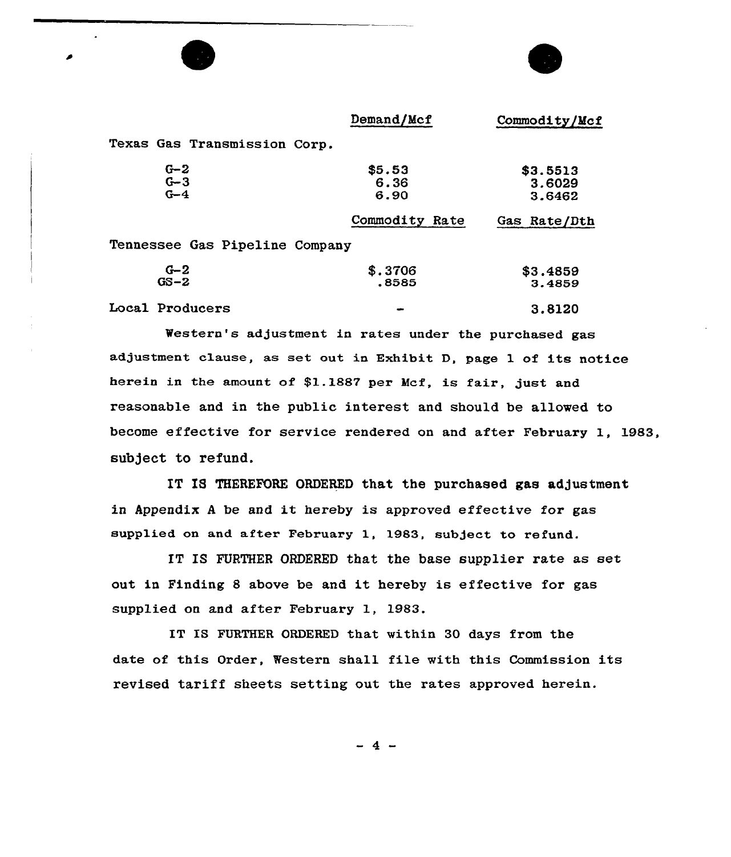|                              | Demand/Mcf                     | Commodity/Mcf                |
|------------------------------|--------------------------------|------------------------------|
| Texas Gas Transmission Corp. |                                |                              |
| $G-2$<br>$G - 3$<br>$G-4$    | \$5.53<br>6.36<br>6.90         | \$3.5513<br>3.6029<br>3.6462 |
|                              | Commodity Rate                 | Gas Rate/Dth                 |
|                              | Tennessee Gas Pipeline Company |                              |
| $G-2$<br>$GS - 2$            | \$.3706<br>.8585               | \$3.4859<br>3.4859           |
| Local Producers              |                                | 3.8120                       |

Western's adjustment in rates under the purchased gas adjustment clause, as set out in Exhibit D, page 1 of its notice herein in the amount of \$1.1887 per Mcf, is fair, just and reasonable and in the public interest and should be allowed to become effective for service rendered on and after February 1, 1983, subject to refund.

IT IS THEREFORE ORDERED that the purchased gas adjustment in Appendix <sup>A</sup> be and it hereby is approved effective for gas supplied on and after February 1, 1983, subject to refund.

IT IS FURTHER ORDERED that the base supplier rate as set out in Finding <sup>8</sup> above be and it hereby is effective for gas supplied on and after February 1, 1983.

IT IS FURTHER ORDERED that within 30 days from the date of this Order, Western shall file with this Commission its revised tariff sheets setting out the rates approved herein.

-4-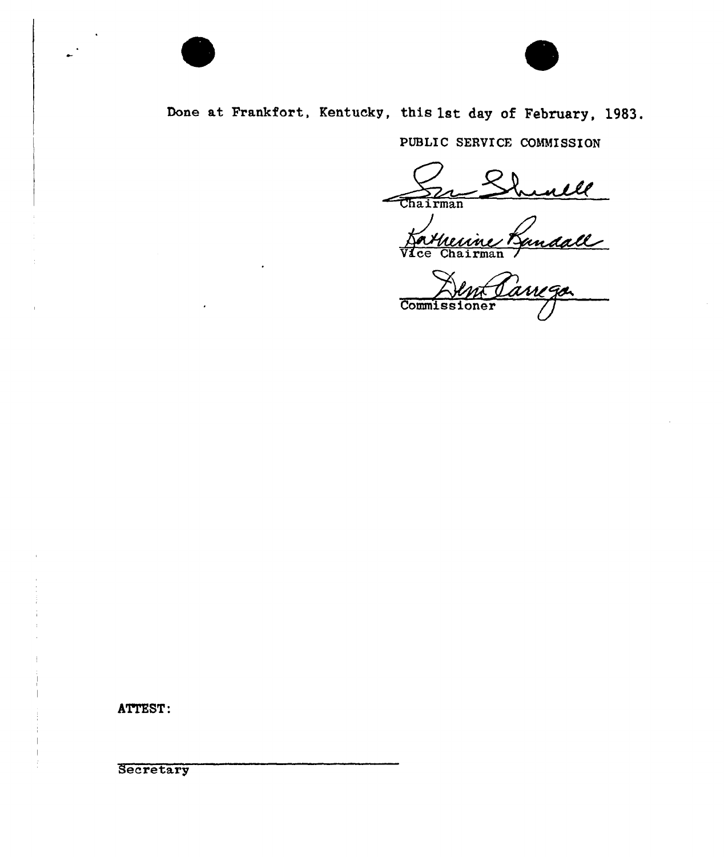

# Done at Frankfort, Kentucky, this 1st day of February, 1983.

PUBIIC SERVICE COMMISSION

<u>ulle</u> Chairman

Forthewine Rundall Commissioner

ATTEST:

**Secretary**